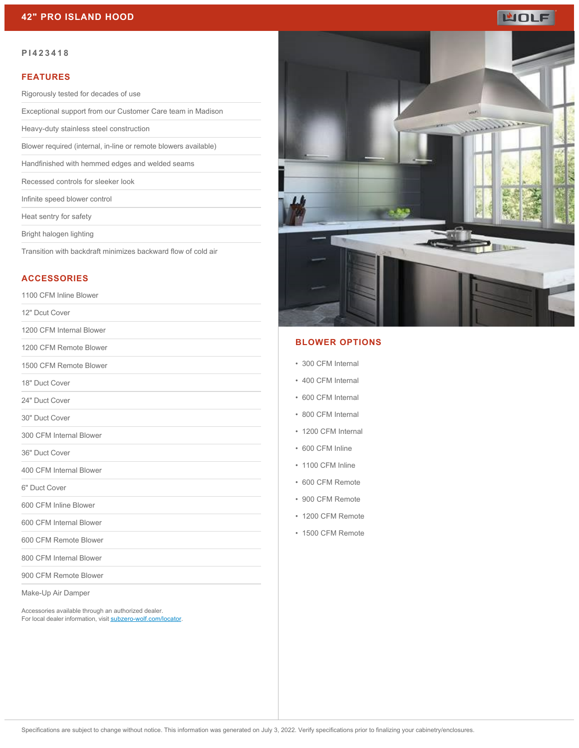# **MOLF**

#### **PI423418**

#### **FEATURES**

Rigorously tested for decades of use

Exceptional support from our Customer Care team in Madison

Heavy-duty stainless steel construction

Blower required (internal, in-line or remote blowers available)

Handfinished with hemmed edges and welded seams

Recessed controls for sleeker look

Infinite speed blower control

Heat sentry for safety

Bright halogen lighting

Transition with backdraft minimizes backward flow of cold air

### **ACCESSORIES**

1100 CFM Inline Blower

12" Dcut Cover

1200 CFM Internal Blower

1200 CFM Remote Blower

1500 CFM Remote Blower

18" Duct Cover

24" Duct Cover

30" Duct Cover

300 CFM Internal Blower

36" Duct Cover

400 CFM Internal Blower

6" Duct Cover

600 CFM Inline Blower

600 CFM Internal Blower

600 CFM Remote Blower

800 CFM Internal Blower

900 CFM Remote Blower

Make-Up Air Damper

Accessories available through an authorized dealer. For local dealer information, visit [subzero-wolf.com/locator.](http://www.subzero-wolf.com/locator)



#### **BLOWER OPTIONS**

- 300 CFM Internal
- 400 CFM Internal
- 600 CFM Internal
- 800 CFM Internal
- 1200 CFM Internal
- 600 CFM Inline
- 1100 CFM Inline
- 600 CFM Remote
- 900 CFM Remote
- 1200 CFM Remote
- 1500 CFM Remote